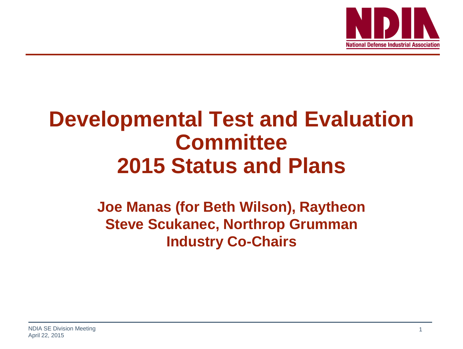

## **Developmental Test and Evaluation Committee 2015 Status and Plans**

### **Joe Manas (for Beth Wilson), Raytheon Steve Scukanec, Northrop Grumman Industry Co-Chairs**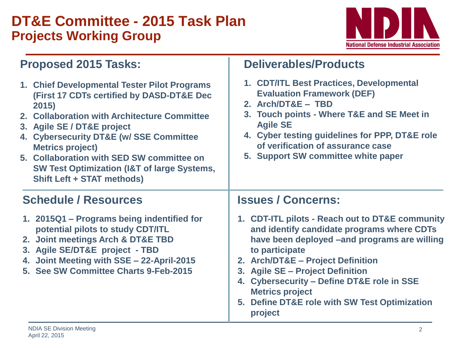### **DT&E Committee - 2015 Task Plan Projects Working Group**



**Deliverables/Products**

### **Proposed 2015 Tasks:**

| 1. Chief Developmental Tester Pilot Programs<br>(First 17 CDTs certified by DASD-DT&E Dec<br>2015)<br>2. Collaboration with Architecture Committee<br>3. Agile SE / DT&E project<br>4. Cybersecurity DT&E (w/ SSE Committee<br><b>Metrics project)</b><br>5. Collaboration with SED SW committee on<br><b>SW Test Optimization (I&amp;T of large Systems,</b><br><b>Shift Left + STAT methods)</b> | 1. CDT/ITL Best Practices, Developmental<br><b>Evaluation Framework (DEF)</b><br>2. Arch/DT&E - TBD<br>3. Touch points - Where T&E and SE Meet in<br><b>Agile SE</b><br>4. Cyber testing guidelines for PPP, DT&E role<br>of verification of assurance case<br>5. Support SW committee white paper                                                                                         |
|----------------------------------------------------------------------------------------------------------------------------------------------------------------------------------------------------------------------------------------------------------------------------------------------------------------------------------------------------------------------------------------------------|--------------------------------------------------------------------------------------------------------------------------------------------------------------------------------------------------------------------------------------------------------------------------------------------------------------------------------------------------------------------------------------------|
| <b>Schedule / Resources</b>                                                                                                                                                                                                                                                                                                                                                                        | <b>Issues / Concerns:</b>                                                                                                                                                                                                                                                                                                                                                                  |
| 1. 2015Q1 – Programs being indentified for<br>potential pilots to study CDT/ITL<br>2. Joint meetings Arch & DT&E TBD<br>3. Agile SE/DT&E project - TBD<br>4. Joint Meeting with SSE - 22-April-2015<br>5. See SW Committee Charts 9-Feb-2015                                                                                                                                                       | 1. CDT-ITL pilots - Reach out to DT&E community<br>and identify candidate programs where CDTs<br>have been deployed -and programs are willing<br>to participate<br>2. Arch/DT&E - Project Definition<br>3. Agile SE - Project Definition<br><b>Cybersecurity - Define DT&amp;E role in SSE</b><br>4.<br><b>Metrics project</b><br>5. Define DT&E role with SW Test Optimization<br>project |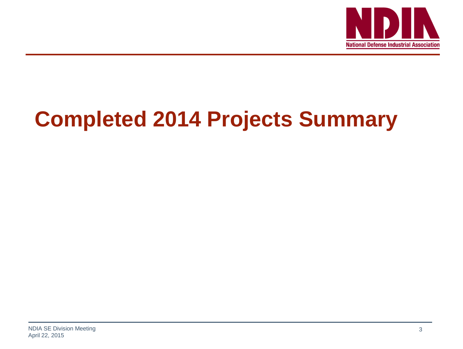

# **Completed 2014 Projects Summary**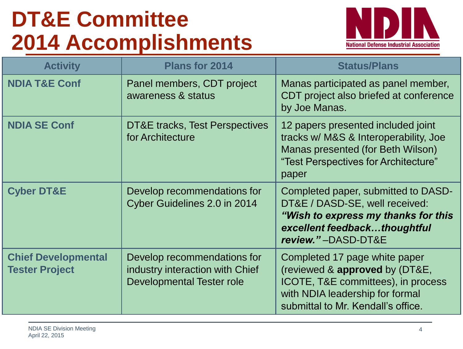# **DT&E Committee 2014 Accomplishments**



| <b>Activity</b>                                     | <b>Plans for 2014</b>                                                                              | <b>Status/Plans</b>                                                                                                                                                            |
|-----------------------------------------------------|----------------------------------------------------------------------------------------------------|--------------------------------------------------------------------------------------------------------------------------------------------------------------------------------|
| <b>NDIA T&amp;E Conf</b>                            | Panel members, CDT project<br>awareness & status                                                   | Manas participated as panel member,<br>CDT project also briefed at conference<br>by Joe Manas.                                                                                 |
| <b>NDIA SE Conf</b>                                 | DT&E tracks, Test Perspectives<br>for Architecture                                                 | 12 papers presented included joint<br>tracks w/ M&S & Interoperability, Joe<br>Manas presented (for Beth Wilson)<br>"Test Perspectives for Architecture"<br>paper              |
| <b>Cyber DT&amp;E</b>                               | Develop recommendations for<br>Cyber Guidelines 2.0 in 2014                                        | Completed paper, submitted to DASD-<br>DT&E / DASD-SE, well received:<br>"Wish to express my thanks for this<br>excellent feedbackthoughtful<br>review."-DASD-DT&E             |
| <b>Chief Developmental</b><br><b>Tester Project</b> | Develop recommendations for<br>industry interaction with Chief<br><b>Developmental Tester role</b> | Completed 17 page white paper<br>(reviewed & approved by (DT&E,<br>ICOTE, T&E committees), in process<br>with NDIA leadership for formal<br>submittal to Mr. Kendall's office. |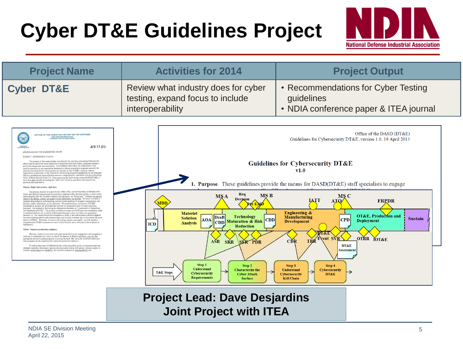# **Cyber DT&E Guidelines Project**



| <b>Project Name</b>                                                                                                                                                                                                                                                                                                                                                                                                                                                                                                                                                                                                                                                                                                                                                                                                                                                                                                                                                                                                                                                                                                                                                                                                                                                                                                                                                                                                                                                                                                                                                                                                                                                                                                                                                                                                                                                                                                                                                                                                                                                                        | <b>Activities for 2014</b>                                                                                                                                                                                                                                                                                                                                                                                                               | <b>Project Output</b>                                                                                                                                                                                                                                                                                                                                                                                                    |  |  |
|--------------------------------------------------------------------------------------------------------------------------------------------------------------------------------------------------------------------------------------------------------------------------------------------------------------------------------------------------------------------------------------------------------------------------------------------------------------------------------------------------------------------------------------------------------------------------------------------------------------------------------------------------------------------------------------------------------------------------------------------------------------------------------------------------------------------------------------------------------------------------------------------------------------------------------------------------------------------------------------------------------------------------------------------------------------------------------------------------------------------------------------------------------------------------------------------------------------------------------------------------------------------------------------------------------------------------------------------------------------------------------------------------------------------------------------------------------------------------------------------------------------------------------------------------------------------------------------------------------------------------------------------------------------------------------------------------------------------------------------------------------------------------------------------------------------------------------------------------------------------------------------------------------------------------------------------------------------------------------------------------------------------------------------------------------------------------------------------|------------------------------------------------------------------------------------------------------------------------------------------------------------------------------------------------------------------------------------------------------------------------------------------------------------------------------------------------------------------------------------------------------------------------------------------|--------------------------------------------------------------------------------------------------------------------------------------------------------------------------------------------------------------------------------------------------------------------------------------------------------------------------------------------------------------------------------------------------------------------------|--|--|
| <b>Cyber DT&amp;E</b>                                                                                                                                                                                                                                                                                                                                                                                                                                                                                                                                                                                                                                                                                                                                                                                                                                                                                                                                                                                                                                                                                                                                                                                                                                                                                                                                                                                                                                                                                                                                                                                                                                                                                                                                                                                                                                                                                                                                                                                                                                                                      | Review what industry does for cyber<br>testing, expand focus to include<br>interoperability                                                                                                                                                                                                                                                                                                                                              | • Recommendations for Cyber Testing<br>guidelines<br>• NDIA conference paper & ITEA journal                                                                                                                                                                                                                                                                                                                              |  |  |
|                                                                                                                                                                                                                                                                                                                                                                                                                                                                                                                                                                                                                                                                                                                                                                                                                                                                                                                                                                                                                                                                                                                                                                                                                                                                                                                                                                                                                                                                                                                                                                                                                                                                                                                                                                                                                                                                                                                                                                                                                                                                                            |                                                                                                                                                                                                                                                                                                                                                                                                                                          |                                                                                                                                                                                                                                                                                                                                                                                                                          |  |  |
| OFFICE OF THE ASSISTANT SECRETARY OF DEFENSE<br>3030 DEFENSE PENTAGON<br>WASHINGTON, DC 20301-3030<br>APR 19 2013                                                                                                                                                                                                                                                                                                                                                                                                                                                                                                                                                                                                                                                                                                                                                                                                                                                                                                                                                                                                                                                                                                                                                                                                                                                                                                                                                                                                                                                                                                                                                                                                                                                                                                                                                                                                                                                                                                                                                                          |                                                                                                                                                                                                                                                                                                                                                                                                                                          | Office of the DASD (DT&E)<br>Guidelines for Cybersecurity DT&E, version 1.0, 19 April 2013                                                                                                                                                                                                                                                                                                                               |  |  |
| MEMORANDUM FOR DASD(DT&E) STAFF<br>SUBJECT: DASD(DT&E) Priorities<br>The purpose of this memorandum is to identify the priorities and actions I believe this<br>office needs to take to be more responsive to acquisition decision makers, program managers.<br>and the developmental test community. The DASD(DT&E) office has established a very<br>positive reputation as an organization dedicated to helping acquisition programs succeed; the<br>priorities discussed in this memorandum are intended to take DT&E in general, and our<br>organization in particular, to the "next level" by focusing program engagement on test strategies<br>that are simultaneously more efficient and more comprehensive, consistent with the overacching<br>theme of Better Buying Power 2.0. Since assuming the duties as the Acting DASD(DT&E), I<br>have been aggressively advocating the "Shift Left" initiative, and that is the basis for the<br>priorities discussed below.<br>Mission: Right information, right time.                                                                                                                                                                                                                                                                                                                                                                                                                                                                                                                                                                                                                                                                                                                                                                                                                                                                                                                                                                                                                                                                   |                                                                                                                                                                                                                                                                                                                                                                                                                                          | <b>Guidelines for Cybersecurity DT&amp;E</b><br>v1.0<br><b>1. Purpose</b> . These guidelines provide the means for $DASD(DT\&E)$ staff specialists to engage                                                                                                                                                                                                                                                             |  |  |
| Our primary mission is to provide the USD(AT&L) and the Secretary of Defense with<br>timely and objective assessments of acquisition programs at key decision points; in other words,<br>and in keeping with Mr. Kendall's famous Deming quote, we "bring data." I believe we have to<br>improve the timing, content, and quality of the information we provide. We have to be able to<br>translate deep technical understanding, across a broad spectrum of program requirements, into<br>decision quality information, at the right time. We must develop a continuum of DT&E<br>knowledge as systems are developed and provide our assessment prior to major milestone<br>fecisions. Our method of delivering this information has been an "Assessment of Operational<br>Test Readiness (AOTR)." The process we follow to create an AOTR provides tremendous value<br>in technical analysis, but its utility is diminished because it does not inform an acquisition<br>decision (i.e., the content should be discussed in a DAB), it has not included sufficient depth in<br>key areas (interoperability and cybersecurity), and it occurs one time late in the system life cycle<br>(prior to IOT&E). Therefore, to improve the timing, content, and quality, we will publish a<br>comprehensive DT&E Assessment at each critical decision point, with particular emphasis at<br>Milestone C<br>Vision: Improve production readiness.<br>Because I expect you to work with great autonomy in your engagement with programs, I<br>want you to understand my vision, so that in the absence of detailed guidance, you can take<br>appropriate actions to assist programs in moving forward. My vision for DASO(DT&E) is so<br>help programs set the conditions for improved production readiness.<br>To reduce discovery of deficiencies late in the acquisition cycle, we must advocate test<br>strategies and plans that ensure rigorous developmental testing with greater mission context to<br>evaluate performance and reliability, and increase emphasis on interoperability and | Req<br><b>MSB</b><br>MS A<br>Decision<br>MDD<br><b>Materiel</b><br><b>Technology</b><br>Draft<br><b>Solution</b><br><b>AOA</b><br><b>CDD</b><br><b>Maturation &amp; Risk</b><br><b>CDD</b><br><b>Analysis</b><br>ICD<br><b>Reduction</b><br>ASR SRR SER PDR<br>Step 1<br>Step 2<br>Understand<br><b>Characterize the</b><br><b>T&amp;E</b> Steps<br><b>Cybersecurity</b><br><b>Cyber Attack</b><br><b>Requirements</b><br><b>Surface</b> | MS C<br><b>IATT</b><br><b>FRPDR</b><br>ATO.<br><b>Engineering &amp;</b><br>OT&E, Production and<br><b>Manufacturing</b><br><b>Sustain</b><br><b>CPD</b><br><b>Deployment</b><br><b>Development</b><br><b>DT&amp;E</b><br><b>OTRR</b><br>Event SVR<br><b>FOT&amp;E</b><br><b>TRR</b><br>CĎR<br>DT&E<br>Assessment<br>Step 3<br>Step 4<br>Understand<br><b>Cybersecurity</b><br>Cybersecurity<br>DT&E<br><b>Kill Chain</b> |  |  |
|                                                                                                                                                                                                                                                                                                                                                                                                                                                                                                                                                                                                                                                                                                                                                                                                                                                                                                                                                                                                                                                                                                                                                                                                                                                                                                                                                                                                                                                                                                                                                                                                                                                                                                                                                                                                                                                                                                                                                                                                                                                                                            |                                                                                                                                                                                                                                                                                                                                                                                                                                          |                                                                                                                                                                                                                                                                                                                                                                                                                          |  |  |

### **Project Lead: Dave Desjardins Joint Project with ITEA**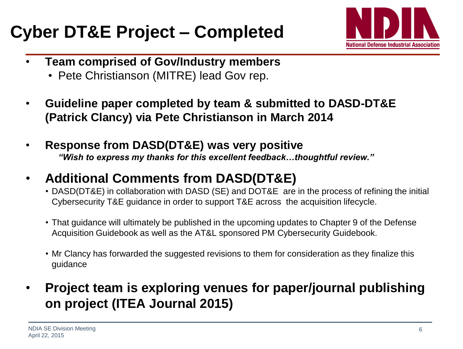## **Cyber DT&E Project – Completed**



- **Team comprised of Gov/Industry members**
	- Pete Christianson (MITRE) lead Gov rep.
- **Guideline paper completed by team & submitted to DASD-DT&E (Patrick Clancy) via Pete Christianson in March 2014**
- **Response from DASD(DT&E) was very positive** *"Wish to express my thanks for this excellent feedback…thoughtful review."*
- **Additional Comments from DASD(DT&E)**
	- DASD(DT&E) in collaboration with DASD (SE) and DOT&E are in the process of refining the initial Cybersecurity T&E guidance in order to support T&E across the acquisition lifecycle.
	- That guidance will ultimately be published in the upcoming updates to Chapter 9 of the Defense Acquisition Guidebook as well as the AT&L sponsored PM Cybersecurity Guidebook.
	- Mr Clancy has forwarded the suggested revisions to them for consideration as they finalize this guidance
- **Project team is exploring venues for paper/journal publishing on project (ITEA Journal 2015)**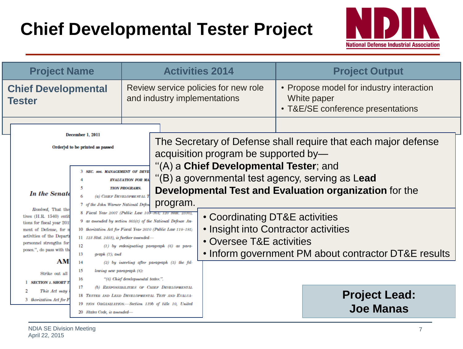## **Chief Developmental Tester Project**



| <b>Project Name</b>                                                                                                                                                                                                                                                                                                                                                   |                                                                           | <b>Activities 2014</b>                                                                                                                                     |  |                                                                                              | <b>Project Output</b>                                         |
|-----------------------------------------------------------------------------------------------------------------------------------------------------------------------------------------------------------------------------------------------------------------------------------------------------------------------------------------------------------------------|---------------------------------------------------------------------------|------------------------------------------------------------------------------------------------------------------------------------------------------------|--|----------------------------------------------------------------------------------------------|---------------------------------------------------------------|
| <b>Chief Developmental</b><br><b>Tester</b>                                                                                                                                                                                                                                                                                                                           | Review service policies for new role<br>and industry implementations      |                                                                                                                                                            |  | • Propose model for industry interaction<br>White paper<br>• T&E/SE conference presentations |                                                               |
|                                                                                                                                                                                                                                                                                                                                                                       |                                                                           |                                                                                                                                                            |  |                                                                                              |                                                               |
| December 1, 2011<br>Ordered to be printed as passed<br>acquisition program be supported by-<br>"(A) a Chief Developmental Tester; and                                                                                                                                                                                                                                 |                                                                           |                                                                                                                                                            |  | The Secretary of Defense shall require that each major defense                               |                                                               |
|                                                                                                                                                                                                                                                                                                                                                                       | <b>3 SEC. so6. MANAGEMENT OF DEVE</b>                                     | <b>EVALUATION FOR MA</b>                                                                                                                                   |  |                                                                                              | (B) a governmental test agency, serving as Lead               |
| <b>In the Senate</b>                                                                                                                                                                                                                                                                                                                                                  | 5<br><b>TION PROGRAMS.</b><br>(a) CHIEF DEVELOPMENTAL T<br>program.       |                                                                                                                                                            |  |                                                                                              | <b>Developmental Test and Evaluation organization for the</b> |
| 7 of the John Warner National Defen<br>Resolved, That the<br>8 Fiscal Year 2007 (Public Law 109-364; 120 Stat. 2330),<br>tives (H.R. 1540) entit<br>9 as amended by section 805(c) of the National Defense Au-<br>tions for fiscal year 201<br>10 thorization Act for Fiscal Year 2010 (Public Law 110-181;<br>of Defense, for n<br>ment<br>activities of the Departs |                                                                           |                                                                                                                                                            |  | • Coordinating DT&E activities<br>• Insight into Contractor activities                       |                                                               |
| personnel strengths for<br>poses.", do pass with th                                                                                                                                                                                                                                                                                                                   | $11$ 123 Stat. 2403), is further amended-<br>12<br>13<br>$graph(7)$ ; and | $(1)$ by redesignating paragraph $(6)$ as para-                                                                                                            |  | • Oversee T&E activities                                                                     | • Inform government PM about contractor DT&E results          |
| AM<br>Strike out all<br><b>SECTION 1. SHORT T</b>                                                                                                                                                                                                                                                                                                                     | 14<br>15<br>lowing new paragraph (6):<br>16                               | $(2)$ by inserting after paragraph $(5)$ the fol-<br>"(6) Chief developmental tester.".                                                                    |  |                                                                                              |                                                               |
| This Act may<br>3 thorization Act for F                                                                                                                                                                                                                                                                                                                               | 17<br>20 States Code, is amended-                                         | (b) RESPONSIBILITIES OF CHIEF DEVELOPMENTAL<br>18 TESTER AND LEAD DEVELOPMENTAL TEST AND EVALUA-<br>19 TION ORGANIZATION.-Section 139b of title 10, United |  |                                                                                              | <b>Project Lead:</b><br><b>Joe Manas</b>                      |